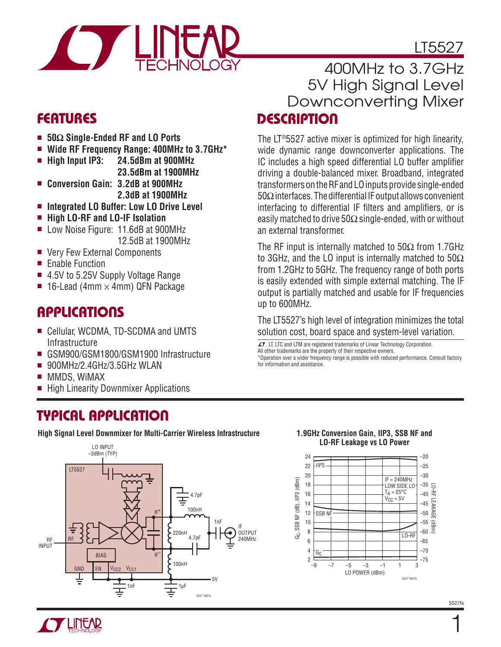LT5527

### **FEATURES**

- <sup>n</sup> **50Ω Single-Ended RF and LO Ports**
- <sup>n</sup> **Wide RF Frequency Range: 400MHz to 3.7GHz\***
- <sup>n</sup> **High Input IP3: 24.5dBm at 900MHz 23.5dBm at 1900MHz**
- <sup>n</sup> **Conversion Gain: 3.2dB at 900MHz 2.3dB at 1900MHz**
- Integrated LO Buffer: Low LO Drive Level
- <sup>n</sup> **High LO-RF and LO-IF Isolation**
- Low Noise Figure: 11.6dB at 900MHz 12.5dB at 1900MHz
- Very Few External Components
- **Enable Function**
- 4.5V to 5.25V Supply Voltage Range
- **16-Lead (4mm**  $\times$  **4mm) QFN Package**

### **APPLICATIONS**

- Cellular, WCDMA, TD-SCDMA and UMTS **Infrastructure**
- GSM900/GSM1800/GSM1900 Infrastructure
- $\blacksquare$  900MHz/2.4GHz/3.5GHz WLAN
- **NMDS, WIMAX**
- High Linearity Downmixer Applications

## **TYPICAL APPLICATION**

**High Signal Level Downmixer for Multi-Carrier Wireless Infrastructure 1.9GHz Conversion Gain, IIP3, SSB NF and** 



### **DESCRIPTION** 400MHz to 3.7GHz 5V High Signal Level Downconverting Mixer

The LT®5527 active mixer is optimized for high linearity, wide dynamic range downconverter applications. The IC includes a high speed differential LO buffer amplifier driving a double-balanced mixer. Broadband, integrated transformers on the RF and LO inputs provide single-ended 50Ω interfaces. The differential IF output allows convenient interfacing to differential IF filters and amplifiers, or is easily matched to drive  $50\Omega$  single-ended, with or without an external transformer.

The RF input is internally matched to  $50\Omega$  from 1.7GHz to 3GHz, and the LO input is internally matched to  $50\Omega$ from 1.2GHz to 5GHz. The frequency range of both ports is easily extended with simple external matching. The IF output is partially matched and usable for IF frequencies up to 600MHz.

The LT5527's high level of integration minimizes the total solution cost, board space and system-level variation.

 $\mathcal{I}$ , LT, LTC and LTM are registered trademarks of Linear Technology Corporation. All other trademarks are the property of their respective owners.

\*Operation over a wider frequency range is possible with reduced performance. Consult factory for information and assistance.

# **LO-RF Leakage vs LO Power**

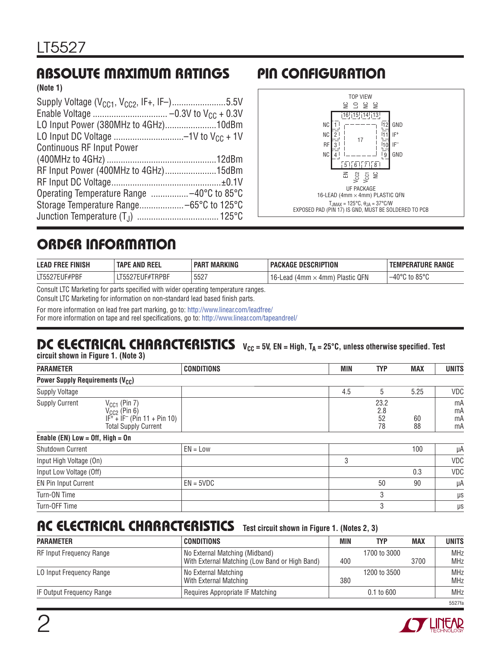## **ABSOLUTE MAXIMUM RATINGS PIN CONFIGURATION**

**(Note 1)**

| Supply Voltage (V <sub>CC1</sub> , V <sub>CC2</sub> , IF+, IF-)5.5V |  |
|---------------------------------------------------------------------|--|
|                                                                     |  |
| LO Input Power (380MHz to 4GHz)10dBm                                |  |
|                                                                     |  |
| <b>Continuous RF Input Power</b>                                    |  |
|                                                                     |  |
| RF Input Power (400MHz to 4GHz)15dBm                                |  |
|                                                                     |  |
|                                                                     |  |
|                                                                     |  |
|                                                                     |  |



# **ORDER INFORMATION**

| <b>FINISH</b><br><b>LEAD</b><br><b>FRE</b> | <b>REEL</b><br>TAPI<br>. AND | <b>MARKING</b><br><b>PAR</b> | <b>DESCRIPTION</b><br><b>PACKAGE</b>   | <b>RANGE</b><br>ERATURE<br>EMPI            |
|--------------------------------------------|------------------------------|------------------------------|----------------------------------------|--------------------------------------------|
| -UF#PBF<br>T552                            | TRPBF<br>15527E<br>– ∪≀      | 5527                         | QFN<br>Plastic<br>Lead<br>. 4mm<br>4mm | $\sim$ to 85°C<br>$-40^{\circ}$ $^{\circ}$ |

Consult LTC Marketing for parts specified with wider operating temperature ranges.

Consult LTC Marketing for information on non-standard lead based finish parts.

For more information on lead free part marking, go to: http://www.linear.com/leadfree/

For more information on tape and reel specifications, go to: http://www.linear.com/tapeandreel/

# **DC ELECTRICAL CHARACTERISTICS** V<sub>CC</sub> = 5V, EN = High, T<sub>A</sub> = 25°C, unless otherwise specified. Test

**circuit shown in Figure 1. (Note 3)**

| <b>PARAMETER</b>                                  |                                                                                                          | <b>CONDITIONS</b> | MIN | <b>TYP</b>              | <b>MAX</b> | <b>UNITS</b>         |
|---------------------------------------------------|----------------------------------------------------------------------------------------------------------|-------------------|-----|-------------------------|------------|----------------------|
| <b>Power Supply Requirements (V<sub>CC</sub>)</b> |                                                                                                          |                   |     |                         |            |                      |
| <b>Supply Voltage</b>                             |                                                                                                          |                   | 4.5 | 5                       | 5.25       | VDC                  |
| <b>Supply Current</b>                             | $V_{CC1}$ (Pin 7)<br>$V_{CC2}$ (Pin 6)<br>$IF^+ + IF^-$ (Pin 11 + Pin 10)<br><b>Total Supply Current</b> |                   |     | 23.2<br>2.8<br>52<br>78 | 60<br>88   | mA<br>mA<br>mA<br>mA |
| Enable (EN) Low = $Off$ , High = $On$             |                                                                                                          |                   |     |                         |            |                      |
| <b>Shutdown Current</b>                           |                                                                                                          | $EN = Low$        |     |                         | 100        | μA                   |
| Input High Voltage (On)                           |                                                                                                          |                   | 3   |                         |            | VDC                  |
| Input Low Voltage (Off)                           |                                                                                                          |                   |     |                         | 0.3        | VDC                  |
| EN Pin Input Current                              |                                                                                                          | $EN = 5VDC$       |     | 50                      | 90         | μA                   |
| Turn-ON Time                                      |                                                                                                          |                   |     | 3                       |            | $\mu$ s              |
| Turn-OFF Time                                     |                                                                                                          |                   |     | 3                       |            | $\mu$ s              |

### **AC ELECTRICAL CHARACTERISTICS Test circuit shown in Figure 1. (Notes 2, 3)**

| <b>PARAMETER</b>          | CONDITIONS                                                                       | <b>MIN</b> | TYP            | <b>MAX</b> | <b>UNITS</b>             |
|---------------------------|----------------------------------------------------------------------------------|------------|----------------|------------|--------------------------|
| RF Input Frequency Range  | No External Matching (Midband)<br>With External Matching (Low Band or High Band) | 400        | 1700 to 3000   | 3700       | <b>MHz</b><br><b>MHz</b> |
| LO Input Frequency Range  | No External Matching<br>With External Matching                                   | 380        | 1200 to 3500   |            | <b>MHz</b><br><b>MHz</b> |
| IF Output Frequency Range | Requires Appropriate IF Matching                                                 |            | $0.1$ to $600$ |            | <b>MHz</b>               |
|                           |                                                                                  |            |                |            | 5527fa                   |

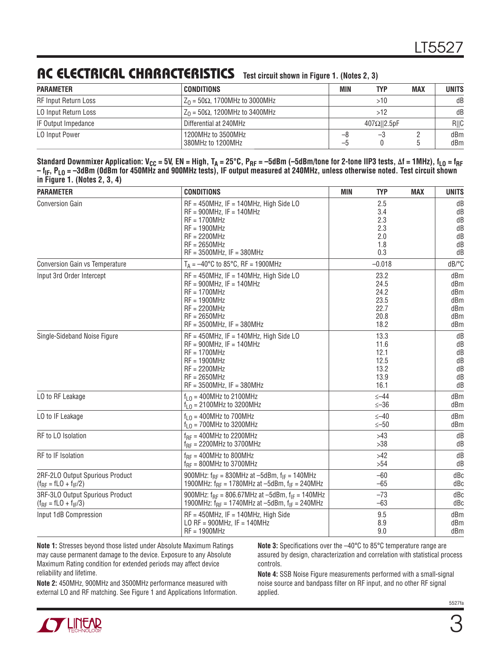# **AC ELECTRICAL CHARACTERISTICS Test circuit shown in Figure 1. (Notes 2, 3)**

| <b>PARAMETER</b>            | CONDITIONS                               | <b>MIN</b> | TYP                 | <b>MAX</b> | <b>UNITS</b> |
|-----------------------------|------------------------------------------|------------|---------------------|------------|--------------|
| <b>RF Input Return Loss</b> | $Z_0$ = 50 $\Omega$ , 1700MHz to 3000MHz |            | >10                 |            | dB           |
| LO Input Return Loss        | $Z_0 = 50\Omega$ , 1200MHz to 3400MHz    |            | >12                 |            | dB           |
| IF Output Impedance         | Differential at 240MHz                   |            | $407\Omega$   2.5pF |            | R  C         |
| <b>LO Input Power</b>       | 1200MHz to 3500MHz<br>380MHz to 1200MHz  | -8<br>—ე   | -3                  |            | dBm<br>dBm   |

Standard Downmixer Application: V<sub>CC</sub> = 5V, EN = High, T<sub>A</sub> = 25°C, P<sub>RF</sub> = –5dBm (–5dBm/tone for 2-tone IIP3 tests, Δf = 1MHz), f<sub>LO</sub> = f<sub>RF</sub> – f<sub>IF</sub>, P<sub>LO</sub> = –3dBm (OdBm for 450MHz and 900MHz tests), IF output measured at 240MHz, unless otherwise noted. Test circuit shown **in Figure 1. (Notes 2, 3, 4)**

| <b>PARAMETER</b>                | <b>CONDITIONS</b>                                             | MIN<br><b>TYP</b><br><b>MAX</b> | <b>UNITS</b> |
|---------------------------------|---------------------------------------------------------------|---------------------------------|--------------|
| <b>Conversion Gain</b>          | $RF = 450MHz$ , IF = 140MHz, High Side LO                     | 2.5                             | dB           |
|                                 | $RF = 900MHz$ , IF = 140MHz                                   | 3.4                             | dB           |
|                                 | $RF = 1700MHz$                                                | 2.3                             | dB           |
|                                 | $RF = 1900MHz$                                                | 2.3                             | dB           |
|                                 | $RF = 2200MHz$                                                | 2.0                             | dB           |
|                                 | $RF = 2650MHz$                                                | 1.8                             | dB           |
|                                 | $RF = 3500MHz$ , IF = 380MHz                                  | 0.3                             | dB           |
| Conversion Gain vs Temperature  | $T_A = -40^{\circ}C$ to 85 $^{\circ}C$ , RF = 1900MHz         | $-0.018$                        | dB/°C        |
| Input 3rd Order Intercept       | $RF = 450MHz$ , IF = 140MHz, High Side LO                     | 23.2                            | dBm          |
|                                 | $RF = 900MHz$ , IF = 140MHz                                   | 24.5                            | dBm          |
|                                 | $RF = 1700MHz$                                                | 24.2                            | dBm          |
|                                 | $RF = 1900MHz$                                                | 23.5                            | dBm          |
|                                 | $RF = 2200MHz$                                                | 22.7                            | dBm          |
|                                 | $RF = 2650MHz$                                                | 20.8                            | dBm          |
|                                 | $RF = 3500MHz$ , IF = 380MHz                                  | 18.2                            | dBm          |
| Single-Sideband Noise Figure    | $RF = 450MHz$ , IF = 140MHz, High Side LO                     | 13.3                            | dB           |
|                                 | $RF = 900MHz$ , IF = 140MHz                                   | 11.6                            | dB           |
|                                 | $RF = 1700MHz$                                                | 12.1                            | dB           |
|                                 | $RF = 1900MHz$                                                | 12.5                            | dB           |
|                                 | $RF = 2200MHz$                                                | 13.2                            | dB           |
|                                 | $RF = 2650MHz$                                                | 13.9                            | dB           |
|                                 | $RF = 3500MHz$ , IF = 380MHz                                  | 16.1                            | dB           |
| LO to RF Leakage                | $f1$ $\cap$ = 400MHz to 2100MHz                               | $\leq -44$                      | dBm          |
|                                 | $f_{1,0} = 2100$ MHz to 3200MHz                               | $≤-36$                          | dBm          |
| LO to IF Leakage                | $f10 = 400 MHz$ to 700MHz                                     | $\leq -40$                      | dBm          |
|                                 | $f_{10}$ = 700MHz to 3200MHz                                  | $\le -50$                       | dBm          |
| RF to LO Isolation              | $f_{BF}$ = 400MHz to 2200MHz                                  | >43                             | dB           |
|                                 | $f_{RF}$ = 2200MHz to 3700MHz                                 | >38                             | dB           |
| RF to IF Isolation              | $f_{BF} = 400MHz$ to 800MHz                                   | >42                             | dB           |
|                                 | $f_{RF}$ = 800MHz to 3700MHz                                  | >54                             | dB           |
| 2RF-2LO Output Spurious Product | 900MHz: $f_{RF} = 830$ MHz at -5dBm, $f_{IF} = 140$ MHz       | $-60$                           | dBc          |
| $(f_{RF} = fLO + f_{IF}/2)$     | 1900MHz: $f_{RF}$ = 1780MHz at -5dBm, $f_{IF}$ = 240MHz       | $-65$                           | dBc          |
| 3RF-3LO Output Spurious Product | 900MHz: $f_{BF} = 806.67$ MHz at $-5$ dBm, $f_{IF} = 140$ MHz | $-73$                           | dBc          |
| $(f_{RF} = fLO + f_{IF}/3)$     | 1900MHz: $f_{RF}$ = 1740MHz at -5dBm, $f_{IF}$ = 240MHz       | $-63$                           | dBc          |
| Input 1dB Compression           | $RF = 450MHz$ , IF = 140MHz, High Side                        | 9.5                             | dBm          |
|                                 | LO RF = $900$ MHz, IF = $140$ MHz                             | 8.9                             | dBm          |
|                                 | $RF = 1900MHz$                                                | 9.0                             | dBm          |

**Note 1:** Stresses beyond those listed under Absolute Maximum Ratings may cause permanent damage to the device. Exposure to any Absolute Maximum Rating condition for extended periods may affect device reliability and lifetime.

**Note 2:** 450MHz, 900MHz and 3500MHz performance measured with external LO and RF matching. See Figure 1 and Applications Information.

**Note 3:** Specifications over the  $-40^{\circ}$ C to 85°C temperature range are assured by design, characterization and correlation with statistical process controls.

**Note 4:** SSB Noise Figure measurements performed with a small-signal noise source and bandpass filter on RF input, and no other RF signal applied.



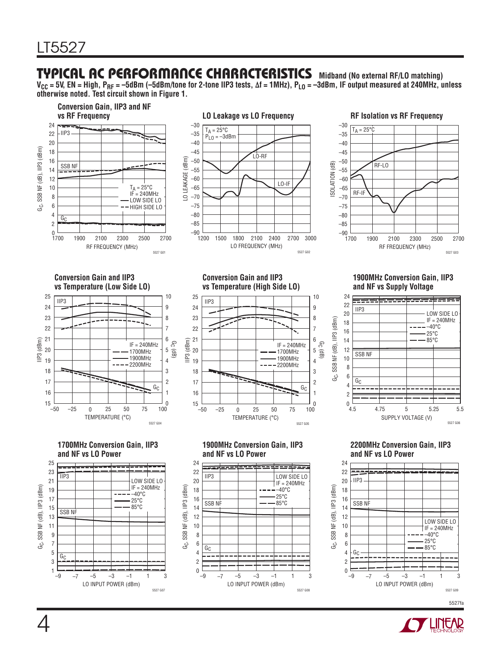### **TYPICAL AC PERFORMANCE CHARACTERISTICS Midband (No external RF/LO matching)**

V<sub>CC</sub> = 5V, EN = High, P<sub>RF</sub> = –5dBm (–5dBm/tone for 2-tone IIP3 tests, Δf = 1MHz), P<sub>LO</sub> = –3dBm, IF output measured at 240MHz, unless **otherwise noted. Test circuit shown in Figure 1.**



![](_page_3_Picture_4.jpeg)

5527fa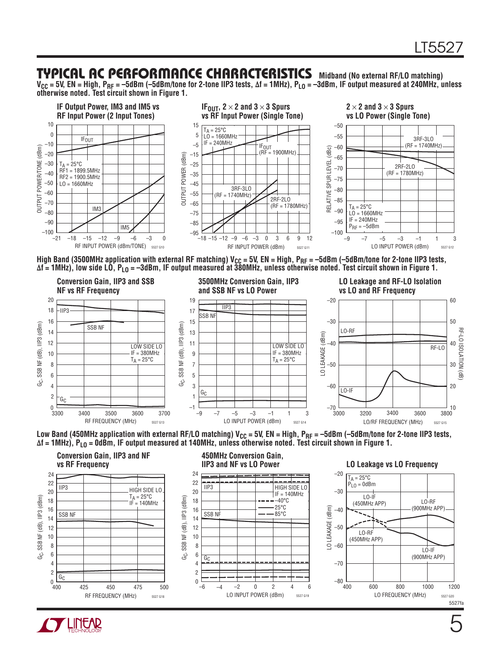### **TYPICAL AC PERFORMANCE CHARACTERISTICS Midband (No external RF/LO matching)**

V<sub>CC</sub> = 5V, EN = High, P<sub>RF</sub> = –5dBm (–5dBm/tone for 2-tone IIP3 tests, Δf = 1MHz), P<sub>LO</sub> = –3dBm, IF output measured at 240MHz, unless **otherwise noted. Test circuit shown in Figure 1.**

![](_page_4_Figure_3.jpeg)

High Band (3500MHz application with external RF matching)  $V_{CC} = 5V$ , EN = High,  $P_{RF} = -5dBm$  (-5dBm/tone for 2-tone IIP3 tests, **Δf = 1MHz), low side LO, PLO = –3dBm, IF output measured at 380MHz, unless otherwise noted. Test circuit shown in Figure 1.**

![](_page_4_Figure_5.jpeg)

![](_page_4_Figure_6.jpeg)

![](_page_4_Figure_7.jpeg)

![](_page_4_Picture_8.jpeg)

5527fa

5527 G20

 $I$   $O-RF$ 

LO-IF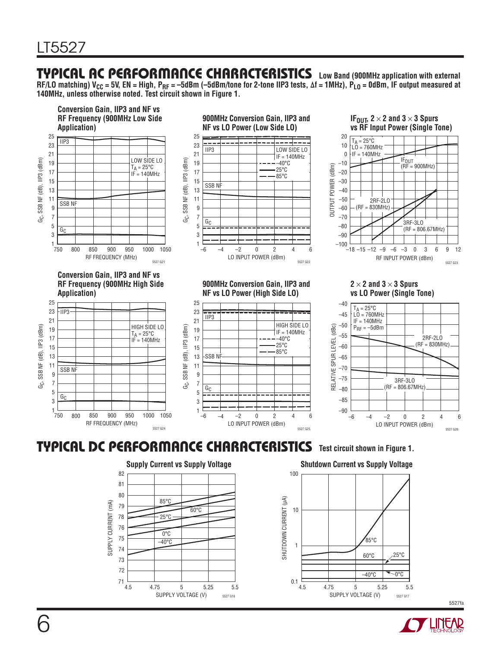### **TYPICAL AC PERFORMANCE CHARACTERISTICS Low Band (900MHz application with external**

RF/LO matching) V<sub>CC</sub> = 5V, EN = High, P<sub>RF</sub> = –5dBm (–5dBm/tone for 2-tone IIP3 tests, Δf = 1MHz), P<sub>LO</sub> = 0dBm, IF output measured at **140MHz, unless otherwise noted. Test circuit shown in Figure 1.**

![](_page_5_Figure_3.jpeg)

### **TYPICAL DC PERFORMANCE CHARACTERISTICS Test circuit shown in Figure 1.**

![](_page_5_Figure_5.jpeg)

![](_page_5_Figure_6.jpeg)

5527fa

![](_page_5_Picture_9.jpeg)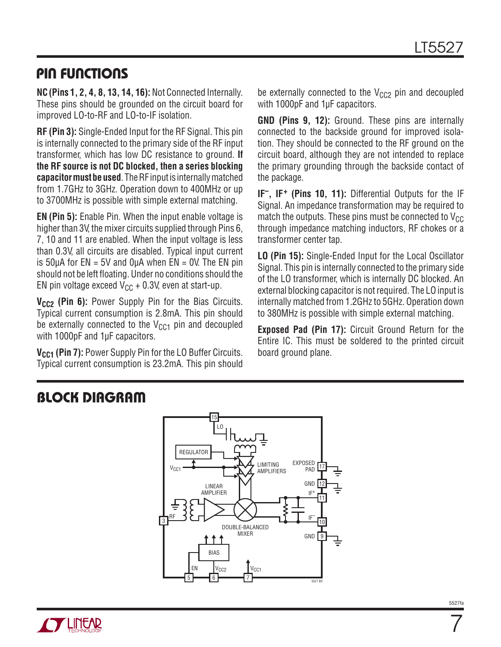### **PIN FUNCTIONS**

**NC(Pins 1, 2, 4, 8, 13, 14, 16):** Not Connected Internally. These pins should be grounded on the circuit board for improved LO-to-RF and LO-to-IF isolation.

**RF (Pin 3):** Single-Ended Input for the RF Signal. This pin is internally connected to the primary side of the RF input transformer, which has low DC resistance to ground. **If the RF source is not DC blocked, then a series blocking capacitor must be used**. The RF input is internally matched from 1.7GHz to 3GHz. Operation down to 400MHz or up to 3700MHz is possible with simple external matching.

**EN (Pin 5):** Enable Pin. When the input enable voltage is higher than 3V, the mixer circuits supplied through Pins 6, 7, 10 and 11 are enabled. When the input voltage is less than 0.3V, all circuits are disabled. Typical input current is 50μA for  $EN = 5V$  and  $Q\mu A$  when  $EN = 0V$ . The EN pin should not be left floating. Under no conditions should the EN pin voltage exceed  $V_{CC}$  + 0.3V, even at start-up.

V<sub>CC2</sub> (Pin 6): Power Supply Pin for the Bias Circuits. Typical current consumption is 2.8mA. This pin should be externally connected to the  $V_{CG1}$  pin and decoupled with 1000pF and 1μF capacitors.

**V<sub>CC1</sub>** (Pin 7): Power Supply Pin for the LO Buffer Circuits. Typical current consumption is 23.2mA. This pin should be externally connected to the  $V_{CC2}$  pin and decoupled with 1000pF and 1µF capacitors.

**GND (Pins 9, 12):** Ground. These pins are internally connected to the backside ground for improved isolation. They should be connected to the RF ground on the circuit board, although they are not intended to replace the primary grounding through the backside contact of the package.

**IF–, IF+ (Pins 10, 11):** Differential Outputs for the IF Signal. An impedance transformation may be required to match the outputs. These pins must be connected to  $V_{CC}$ through impedance matching inductors, RF chokes or a transformer center tap.

**LO (Pin 15):** Single-Ended Input for the Local Oscillator Signal. This pin is internally connected to the primary side of the LO transformer, which is internally DC blocked. An external blocking capacitor is not required. The LO input is internally matched from 1.2GHz to 5GHz. Operation down to 380MHz is possible with simple external matching.

**Exposed Pad (Pin 17):** Circuit Ground Return for the Entire IC. This must be soldered to the printed circuit board ground plane.

### **BLOCK DIAGRAM**

![](_page_6_Figure_13.jpeg)

![](_page_6_Picture_14.jpeg)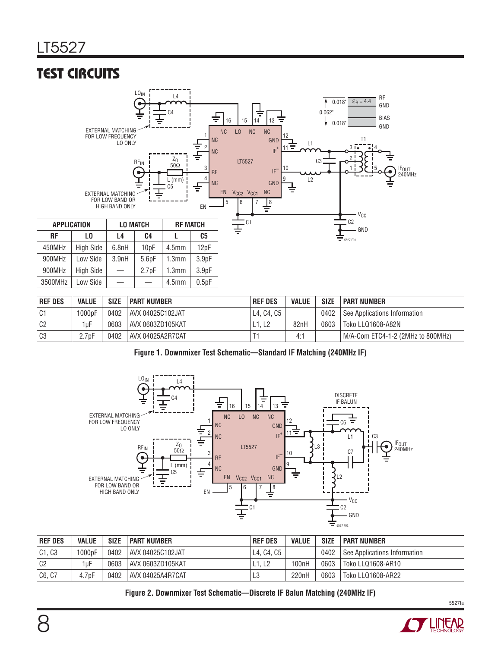# **TEST CIRCUITS**

![](_page_7_Figure_2.jpeg)

| <b>REF DES</b> | <b>VALUE</b> | <b>SIZE</b> | <b>PART NUMBER</b> | <b>REF DES</b> | <b>VALUE</b> | <b>SIZE</b> | I PART NUMBER                        |
|----------------|--------------|-------------|--------------------|----------------|--------------|-------------|--------------------------------------|
| C1             | 1000pF       | 0402        | AVX 04025C102JAT   | L4. C4. C5     |              | 0402        | See Applications Information         |
| C <sub>2</sub> | 1uF          | 0603        | AVX 0603ZD105KAT   | . L2           | 82nH         | 0603        | Toko LLQ1608-A82N                    |
| C <sub>3</sub> | 2.7pF        | 0402        | i AVX 04025A2R7CAT |                | 4:1          |             | l M/A-Com ETC4-1-2 (2MHz to 800MHz). |

|  | Figure 1. Downmixer Test Schematic-Standard IF Matching (240MHz IF) |  |  |
|--|---------------------------------------------------------------------|--|--|
|  |                                                                     |  |  |

![](_page_7_Figure_5.jpeg)

| <b>REF DES</b> | <b>VALUE</b>        | <b>SIZE</b> | I PART NUMBER     | <b>REF DES</b> | <b>VALUE</b> | <b>SIZE</b> | I PART NUMBER                  |
|----------------|---------------------|-------------|-------------------|----------------|--------------|-------------|--------------------------------|
| C1, C3         | 1000 <sub>p</sub> F | 0402        | AVX 04025C102JAT  | I L4, C4, C5   |              | 0402        | See Applications Information   |
| C <sub>2</sub> | 1uF                 | 0603        | AVX 0603ZD105KAT  | L1. L2         | 100nH        | 0603        | <sup>1</sup> Toko LLQ1608-AR10 |
| C6, C7         | 4.7pF               | 0402        | LAVX 04025A4R7CAT | L3             | 220nH        | 0603        | Toko LLQ1608-AR22              |

**Figure 2. Downmixer Test Schematic—Discrete IF Balun Matching (240MHz IF)**

![](_page_7_Picture_8.jpeg)

5527fa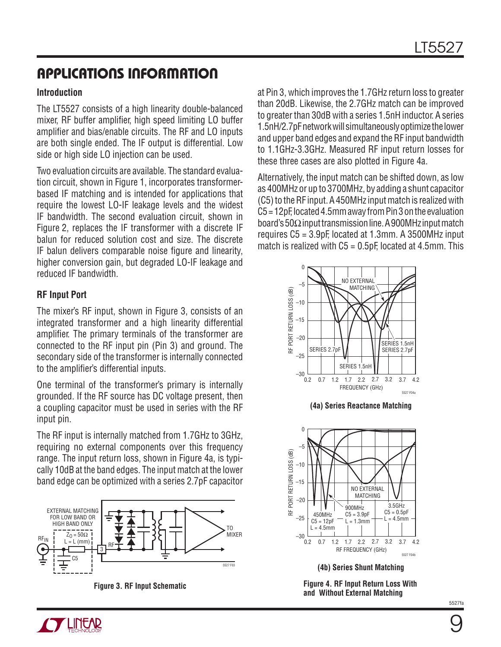#### **Introduction**

The LT5527 consists of a high linearity double-balanced mixer. RF buffer amplifier, high speed limiting LO buffer amplifier and bias/enable circuits. The RF and LO inputs are both single ended. The IF output is differential. Low side or high side LO injection can be used.

Two evaluation circuits are available. The standard evaluation circuit, shown in Figure 1, incorporates transformerbased IF matching and is intended for applications that require the lowest LO-IF leakage levels and the widest IF bandwidth. The second evaluation circuit, shown in Figure 2, replaces the IF transformer with a discrete IF balun for reduced solution cost and size. The discrete IF balun delivers comparable noise figure and linearity, higher conversion gain, but degraded LO-IF leakage and reduced IF bandwidth.

#### **RF Input Port**

The mixer's RF input, shown in Figure 3, consists of an integrated transformer and a high linearity differential amplifier. The primary terminals of the transformer are connected to the RF input pin (Pin 3) and ground. The secondary side of the transformer is internally connected to the amplifier's differential inputs.

One terminal of the transformer's primary is internally grounded. If the RF source has DC voltage present, then a coupling capacitor must be used in series with the RF input pin.

The RF input is internally matched from 1.7GHz to 3GHz, requiring no external components over this frequency range. The input return loss, shown in Figure 4a, is typically 10dB at the band edges. The input match at the lower band edge can be optimized with a series 2.7pF capacitor

![](_page_8_Figure_9.jpeg)

at Pin 3, which improves the 1.7GHz return loss to greater than 20dB. Likewise, the 2.7GHz match can be improved to greater than 30dB with a series 1.5nH inductor. A series 1.5nH/2.7pF network will simultaneously optimize the lower and upper band edges and expand the RF input bandwidth to 1.1GHz-3.3GHz. Measured RF input return losses for these three cases are also plotted in Figure 4a.

Alternatively, the input match can be shifted down, as low as 400MHz or up to 3700MHz, by adding a shunt capacitor (C5) to the RF input. A 450MHz input match is realized with C5 = 12pF, located 4.5mm away from Pin 3 on the evaluation board's 50Ω input transmission line. A 900MHz input match requires C5 = 3.9pF, located at 1.3mm. A 3500MHz input match is realized with  $C5 = 0.5pF$ , located at 4.5mm. This

![](_page_8_Figure_13.jpeg)

**(4a) Series Reactance Matching**

![](_page_8_Figure_15.jpeg)

**(4b) Series Shunt Matching**

**Figure 3. RF Input Schematic Figure 4. RF Input Return Loss With and Without External Matching**

![](_page_8_Picture_19.jpeg)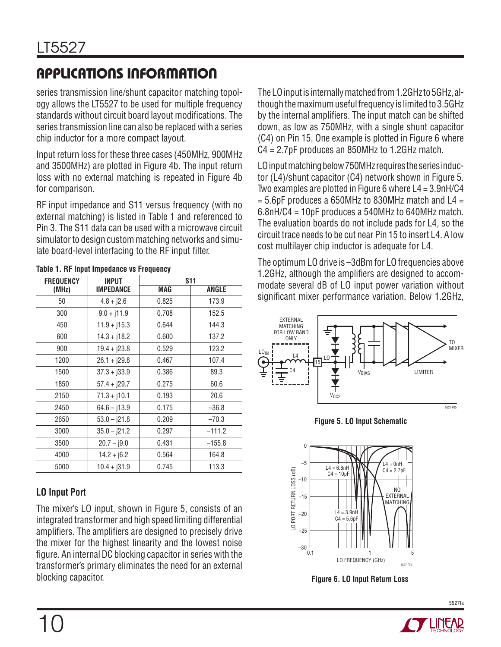series transmission line/shunt capacitor matching topology allows the LT5527 to be used for multiple frequency standards without circuit board layout modifications. The series transmission line can also be replaced with a series chip inductor for a more compact layout.

Input return loss for these three cases (450MHz, 900MHz and 3500MHz) are plotted in Figure 4b. The input return loss with no external matching is repeated in Figure 4b for comparison.

RF input impedance and S11 versus frequency (with no external matching) is listed in Table 1 and referenced to Pin 3. The S11 data can be used with a microwave circuit simulator to design custom matching networks and simulate board-level interfacing to the RF input filter.

| <b>FREQUENCY</b> | <b>INPUT</b>     | <b>S11</b> |          |
|------------------|------------------|------------|----------|
| (MHz)            | <b>IMPEDANCE</b> | MAG        | ANGLE    |
| 50               | $4.8 + j2.6$     | 0.825      | 173.9    |
| 300              | $9.0 + j11.9$    | 0.708      | 152.5    |
| 450              | $11.9 + j15.3$   | 0.644      | 144.3    |
| 600              | $14.3 + j18.2$   | 0.600      | 137.2    |
| 900              | $19.4 + j23.8$   | 0.529      | 123.2    |
| 1200             | $26.1 + j29.8$   | 0.467      | 107.4    |
| 1500             | $37.3 + j33.9$   | 0.386      | 89.3     |
| 1850             | $57.4 + j29.7$   | 0.275      | 60.6     |
| 2150             | $71.3 + j10.1$   | 0.193      | 20.6     |
| 2450             | $64.6 - 13.9$    | 0.175      | $-36.8$  |
| 2650             | $53.0 - j21.8$   | 0.209      | $-70.3$  |
| 3000             | $35.0 - j21.2$   | 0.297      | $-111.2$ |
| 3500             | $20.7 - j9.0$    | 0.431      | $-155.8$ |
| 4000             | $14.2 + 16.2$    | 0.564      | 164.8    |
| 5000             | $10.4 + j31.9$   | 0.745      | 113.3    |

#### **Table 1. RF Input Impedance vs Frequency**

#### **LO Input Port**

The mixer's LO input, shown in Figure 5, consists of an integrated transformer and high speed limiting differential amplifiers. The amplifiers are designed to precisely drive the mixer for the highest linearity and the lowest noise figure. An internal DC blocking capacitor in series with the transformer's primary eliminates the need for an external blocking capacitor.

The LO input is internally matched from 1.2GHz to 5GHz, although the maximum useful frequency is limited to 3.5GHz by the internal amplifiers. The input match can be shifted down, as low as 750MHz, with a single shunt capacitor (C4) on Pin 15. One example is plotted in Figure 6 where C4 = 2.7pF produces an 850MHz to 1.2GHz match.

LO input matching below 750MHz requires the series inductor (L4)/shunt capacitor (C4) network shown in Figure 5. Two examples are plotted in Figure 6 where L4 = 3.9nH/C4  $= 5.6$ pF produces a 650MHz to 830MHz match and L4  $=$ 6.8nH/C4 = 10pF produces a 540MHz to 640MHz match. The evaluation boards do not include pads for L4, so the circuit trace needs to be cut near Pin 15 to insert L4. A low cost multilayer chip inductor is adequate for L4.

The optimum LO drive is –3dBm for LO frequencies above 1.2GHz, although the amplifiers are designed to accommodate several dB of LO input power variation without significant mixer performance variation. Below 1.2GHz,

![](_page_9_Figure_12.jpeg)

![](_page_9_Figure_13.jpeg)

![](_page_9_Figure_14.jpeg)

**Figure 6. LO Input Return Loss**

![](_page_9_Picture_16.jpeg)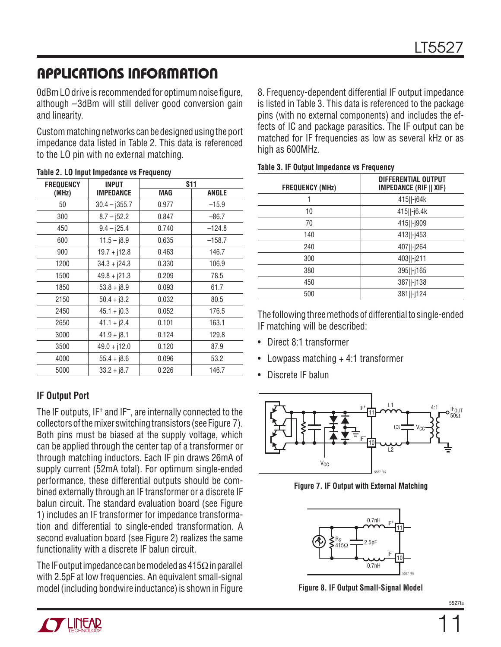0dBm LO drive is recommended for optimum noise figure, although –3dBm will still deliver good conversion gain and linearity.

Custom matching networks can be designed using the port impedance data listed in Table 2. This data is referenced to the LO pin with no external matching.

| <b>FREQUENCY</b> | <b>INPUT</b>     | <b>S11</b> |          |
|------------------|------------------|------------|----------|
| (MHz)            | <b>IMPEDANCE</b> | MAG        | ANGLE    |
| 50               | $30.4 - j355.7$  | 0.977      | $-15.9$  |
| 300              | $8.7 - 152.2$    | 0.847      | $-86.7$  |
| 450              | $9.4 - j25.4$    | 0.740      | $-124.8$ |
| 600              | $11.5 - j8.9$    | 0.635      | $-158.7$ |
| 900              | $19.7 + j12.8$   | 0.463      | 146.7    |
| 1200             | $34.3 + j24.3$   | 0.330      | 106.9    |
| 1500             | $49.8 + j21.3$   | 0.209      | 78.5     |
| 1850             | $53.8 + 18.9$    | 0.093      | 61.7     |
| 2150             | $50.4 + j3.2$    | 0.032      | 80.5     |
| 2450             | $45.1 + j0.3$    | 0.052      | 176.5    |
| 2650             | $41.1 + j2.4$    | 0.101      | 163.1    |
| 3000             | $41.9 + j8.1$    | 0.124      | 129.8    |
| 3500             | $49.0 + j12.0$   | 0.120      | 87.9     |
| 4000             | $55.4 + j8.6$    | 0.096      | 53.2     |
| 5000             | $33.2 + j8.7$    | 0.226      | 146.7    |

#### **Table 2. LO Input Impedance vs Frequency**

#### **IF Output Port**

The IF outputs, IF+ and IF–, are internally connected to the collectors of the mixer switching transistors (see Figure 7). Both pins must be biased at the supply voltage, which can be applied through the center tap of a transformer or through matching inductors. Each IF pin draws 26mA of supply current (52mA total). For optimum single-ended performance, these differential outputs should be combined externally through an IF transformer or a discrete IF balun circuit. The standard evaluation board (see Figure 1) includes an IF transformer for impedance transformation and differential to single-ended transformation. A second evaluation board (see Figure 2) realizes the same functionality with a discrete IF balun circuit.

The IF output impedance can be modeled as  $415\Omega$  in parallel with 2.5pF at low frequencies. An equivalent small-signal model (including bondwire inductance) is shown in Figure

8. Frequency-dependent differential IF output impedance is listed in Table 3. This data is referenced to the package pins (with no external components) and includes the effects of IC and package parasitics. The IF output can be matched for IF frequencies as low as several kHz or as high as 600MHz.

| Table 3. IF Output Impedance vs Frequency |  |  |  |
|-------------------------------------------|--|--|--|
|                                           |  |  |  |

| <b>FREQUENCY (MHz)</b> | <b>DIFFERENTIAL OUTPUT</b><br><b>IMPEDANCE (RIF    XIF)</b> |
|------------------------|-------------------------------------------------------------|
|                        | 415  -j64k                                                  |
| 10                     | 415  -j6.4k                                                 |
| 70                     | 415  -j909                                                  |
| 140                    | 413  -j453                                                  |
| 240                    | 407  -j264                                                  |
| 300                    | 403  -j211                                                  |
| 380                    | 395  -j165                                                  |
| 450                    | 387  -j138                                                  |
| 500                    | 381  -j124                                                  |
|                        |                                                             |

The following three methods of differential to single-ended IF matching will be described:

- Direct 8:1 transformer
- Lowpass matching  $+4:1$  transformer
- Discrete IF balun

![](_page_10_Figure_16.jpeg)

**Figure 7. IF Output with External Matching**

![](_page_10_Figure_18.jpeg)

**Figure 8. IF Output Small-Signal Model**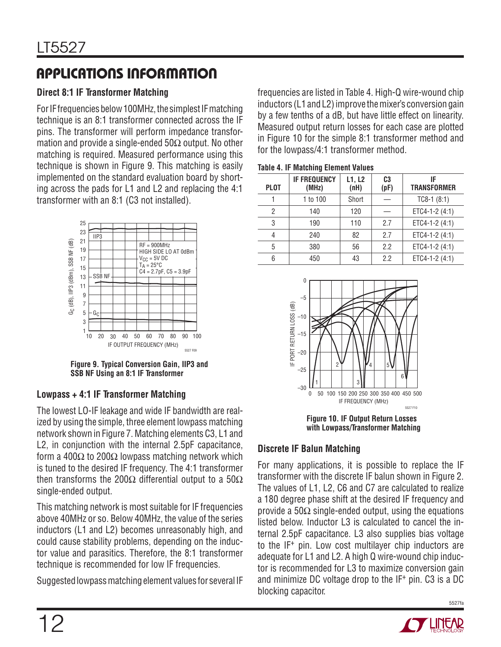### **Direct 8:1 IF Transformer Matching**

For IF frequencies below 100MHz, the simplest IF matching technique is an 8:1 transformer connected across the IF pins. The transformer will perform impedance transformation and provide a single-ended  $50\Omega$  output. No other matching is required. Measured performance using this technique is shown in Figure 9. This matching is easily implemented on the standard evaluation board by shorting across the pads for L1 and L2 and replacing the 4:1 transformer with an 8:1 (C3 not installed).

![](_page_11_Figure_4.jpeg)

**Figure 9. Typical Conversion Gain, IIP3 and SSB NF Using an 8:1 IF Transformer**

#### **Lowpass + 4:1 IF Transformer Matching**

The lowest LO-IF leakage and wide IF bandwidth are realized by using the simple, three element lowpass matching network shown in Figure 7. Matching elements C3, L1 and L2, in conjunction with the internal 2.5pF capacitance, form a 400 $\Omega$  to 200 $\Omega$  lowpass matching network which is tuned to the desired IF frequency. The 4:1 transformer then transforms the 200 $\Omega$  differential output to a 50 $\Omega$ single-ended output.

This matching network is most suitable for IF frequencies above 40MHz or so. Below 40MHz, the value of the series inductors (L1 and L2) becomes unreasonably high, and could cause stability problems, depending on the inductor value and parasitics. Therefore, the 8:1 transformer technique is recommended for low IF frequencies.

Suggested lowpass matching element values for several IF

frequencies are listed in Table 4. High-Q wire-wound chip inductors (L1 and L2) improve the mixer's conversion gain by a few tenths of a dB, but have little effect on linearity. Measured output return losses for each case are plotted in Figure 10 for the simple 8:1 transformer method and for the lowpass/4:1 transformer method.

| <b>IF FREQUENCY</b><br>(MHz) | L1, L2<br>(nH) | C <sub>3</sub><br>(pF) | IF<br><b>TRANSFORMER</b> |
|------------------------------|----------------|------------------------|--------------------------|
| 1 to 100                     | Short          |                        | $TC8-1$ (8:1)            |
| 140                          | 120            |                        | ETC4-1-2 (4:1)           |
| 190                          | 110            | 2.7                    | ETC4-1-2 (4:1)           |
| 240                          | 82             | 2.7                    | ETC4-1-2 (4:1)           |
| 380                          | 56             | 2.2                    | ETC4-1-2 (4:1)           |
| 450                          | 43             | 2.2                    | ETC4-1-2 (4:1)           |
|                              |                |                        |                          |

![](_page_11_Figure_13.jpeg)

**Figure 10. IF Output Return Losses with Lowpass/Transformer Matching**

#### **Discrete IF Balun Matching**

For many applications, it is possible to replace the IF transformer with the discrete IF balun shown in Figure 2. The values of L1, L2, C6 and C7 are calculated to realize a 180 degree phase shift at the desired IF frequency and provide a 50 $\Omega$  single-ended output, using the equations listed below. Inductor L3 is calculated to cancel the internal 2.5pF capacitance. L3 also supplies bias voltage to the IF+ pin. Low cost multilayer chip inductors are adequate for L1 and L2. A high Q wire-wound chip inductor is recommended for L3 to maximize conversion gain and minimize DC voltage drop to the IF+ pin. C3 is a DC blocking capacitor.

![](_page_11_Picture_17.jpeg)

5527fa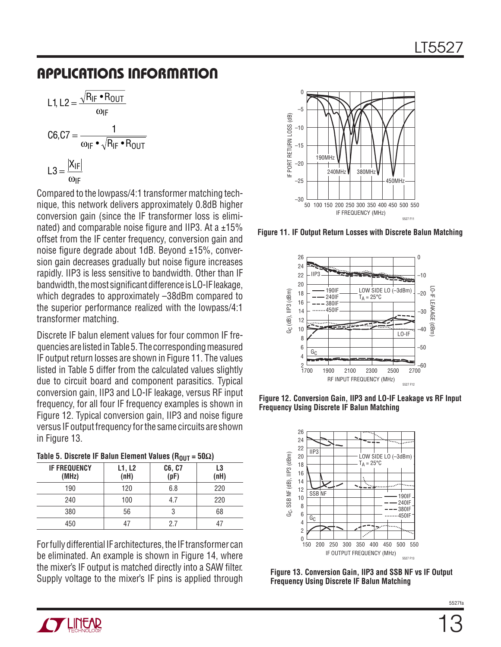$$
L1, L2 = \frac{\sqrt{R_{IF} \cdot R_{OUT}}}{\omega_{IF}}
$$

$$
C6, C7 = \frac{1}{\omega_{IF} \cdot \sqrt{R_{IF} \cdot R_{OUT}}}
$$

$$
L3 = \frac{|X_{IF}|}{\omega_{IF}}
$$

Compared to the lowpass/4:1 transformer matching technique, this network delivers approximately 0.8dB higher conversion gain (since the IF transformer loss is eliminated) and comparable noise figure and IIP3. At a  $\pm 15\%$ offset from the IF center frequency, conversion gain and noise figure degrade about 1dB. Beyond  $\pm 15$ %, conversion gain decreases gradually but noise figure increases rapidly. IIP3 is less sensitive to bandwidth. Other than IF bandwidth, the most significant difference is LO-IF leakage, which degrades to approximately –38dBm compared to the superior performance realized with the lowpass/4:1 transformer matching.

Discrete IF balun element values for four common IF frequencies are listed in Table 5. The corresponding measured IF output return losses are shown in Figure 11. The values listed in Table 5 differ from the calculated values slightly due to circuit board and component parasitics. Typical conversion gain, IIP3 and LO-IF leakage, versus RF input frequency, for all four IF frequency examples is shown in Figure 12. Typical conversion gain, IIP3 and noise figure versus IF output frequency for the same circuits are shown in Figure 13.

| Table 5. Discrete IF Balun Element Values (R <sub>OUT</sub> = 50 $\Omega$ ) |  |  |  |
|-----------------------------------------------------------------------------|--|--|--|
|                                                                             |  |  |  |

| <b>IF FREQUENCY</b><br>(MHz) | L1, L2<br>(nH) | C6, C7<br>(pF) | L3<br>(nH) |
|------------------------------|----------------|----------------|------------|
| 190                          | 120            | 6.8            | 220        |
| 240                          | 100            | 4.7            | 220        |
| 380                          | 56             | 3              | 68         |
| 450                          | 47             | 2.7            | 47         |

For fully differential IF architectures, the IF transformer can be eliminated. An example is shown in Figure 14, where the mixer's IF output is matched directly into a SAW filter. Supply voltage to the mixer's IF pins is applied through

![](_page_12_Figure_8.jpeg)

**Figure 11. IF Output Return Losses with Discrete Balun Matching**

![](_page_12_Figure_10.jpeg)

**Figure 12. Conversion Gain, IIP3 and LO-IF Leakage vs RF Input Frequency Using Discrete IF Balun Matching**

![](_page_12_Figure_12.jpeg)

**Figure 13. Conversion Gain, IIP3 and SSB NF vs IF Output Frequency Using Discrete IF Balun Matching**

![](_page_12_Picture_14.jpeg)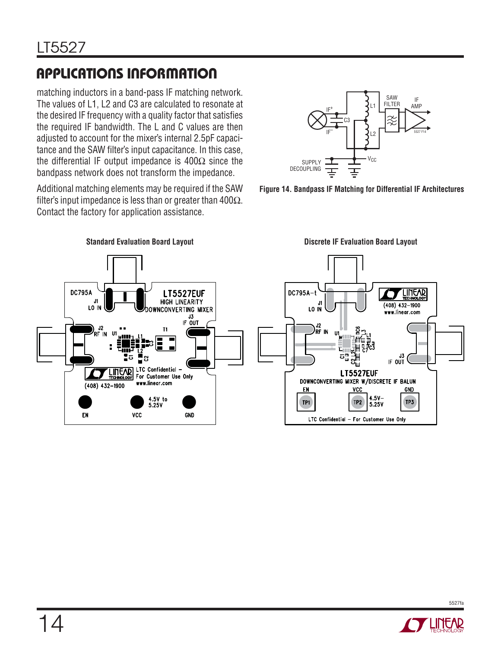matching inductors in a band-pass IF matching network. The values of L1, L2 and C3 are calculated to resonate at the desired IF frequency with a quality factor that satisfies the required IF bandwidth. The L and C values are then adjusted to account for the mixer's internal 2.5pF capacitance and the SAW filter's input capacitance. In this case, the differential IF output impedance is  $400\Omega$  since the bandpass network does not transform the impedance.

Additional matching elements may be required if the SAW filter's input impedance is less than or greater than 400 $\Omega$ . Contact the factory for application assistance.

![](_page_13_Figure_4.jpeg)

![](_page_13_Figure_5.jpeg)

![](_page_13_Figure_6.jpeg)

**Standard Evaluation Board Layout Discrete IF Evaluation Board Layout**

![](_page_13_Picture_8.jpeg)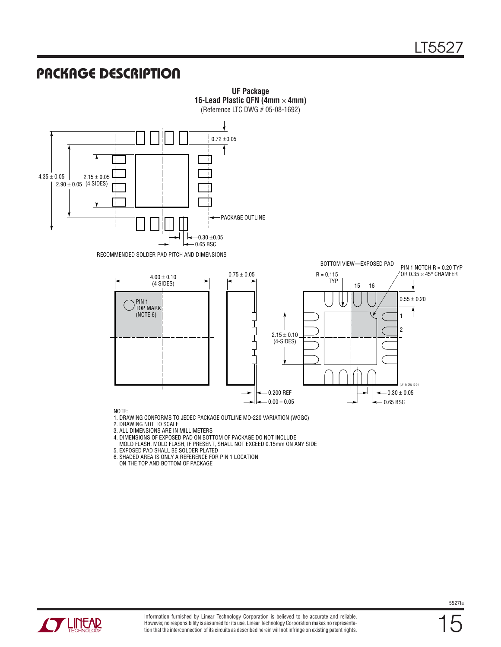### **PACKAGE DESCRIPTION**

![](_page_14_Figure_2.jpeg)

![](_page_14_Picture_3.jpeg)

5527fa